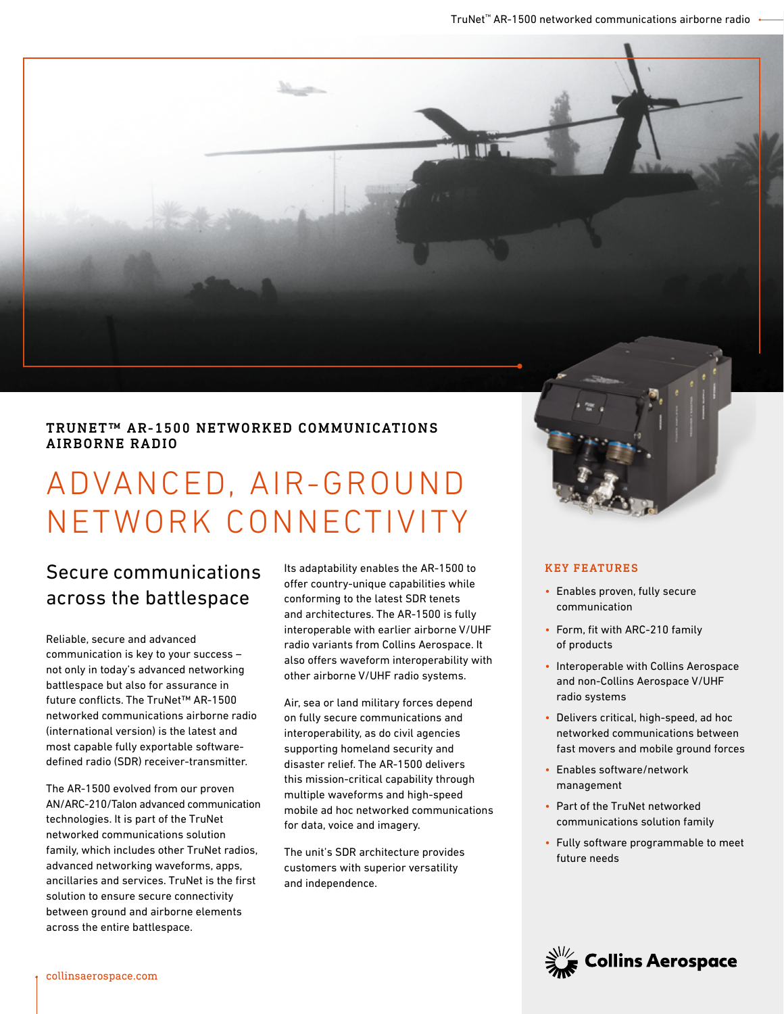TRUNET™ AR-1500 NETWORKED COMMUNICATIONS AIRBORNE RADIO

# ADVANCED, AIR-GROUND NETWORK CONNECTIVITY

# Secure communications across the battlespace

Reliable, secure and advanced communication is key to your success – not only in today's advanced networking battlespace but also for assurance in future conflicts. The TruNet™ AR-1500 networked communications airborne radio (international version) is the latest and most capable fully exportable softwaredefined radio (SDR) receiver-transmitter.

The AR-1500 evolved from our proven AN/ARC-210/Talon advanced communication technologies. It is part of the TruNet networked communications solution family, which includes other TruNet radios, advanced networking waveforms, apps, ancillaries and services. TruNet is the first solution to ensure secure connectivity between ground and airborne elements across the entire battlespace.

Its adaptability enables the AR-1500 to offer country-unique capabilities while conforming to the latest SDR tenets and architectures. The AR-1500 is fully interoperable with earlier airborne V/UHF radio variants from Collins Aerospace. It also offers waveform interoperability with other airborne V/UHF radio systems.

Air, sea or land military forces depend on fully secure communications and interoperability, as do civil agencies supporting homeland security and disaster relief. The AR-1500 delivers this mission-critical capability through multiple waveforms and high-speed mobile ad hoc networked communications for data, voice and imagery.

The unit's SDR architecture provides customers with superior versatility and independence.



#### KEY FEATURES

- Enables proven, fully secure communication
- Form, fit with ARC-210 family of products
- Interoperable with Collins Aerospace and non-Collins Aerospace V/UHF radio systems
- Delivers critical, high-speed, ad hoc networked communications between fast movers and mobile ground forces
- Enables software/network management
- Part of the TruNet networked communications solution family
- Fully software programmable to meet future needs